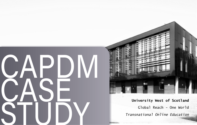



Global Reach - One World *Transnational Online Education*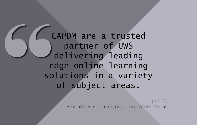CAPDM are a trusted<br>
partner of UWS<br>
delivering leading<br>
edge online learning<br>
solutions in a variety<br>
of subject areas.<br>
eadofLondor Campus, University of Wester partner of UWS delivering leading edge online learning solutions in a variety of subject areas.

Tom Duff Head of London Campus, University of West of Scotland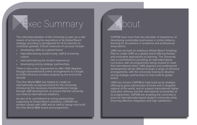Exec Summary

The internationalisation of the University is seen as a vital means of achieving the aspirations of its Global Reach strategy, providing a springboard for all its learners to contribute globally. Critical measures of success include:

- developing UWS as a global brand
- internationalising student body, staff & University culture
- internationalising the student experience
- developing strong strategic partnerships.

There is also a key requirement to offer UWS degrees through transnational & online arrangements to a target of 3,000 off-shore enrolled students by the end of the decade.

The One World MBA has helped to create an internationally recognised brand for the University, introducing the necessary transformational change, through staff development, to ensure that the University can meet its international ambitions.

As part of its commitment to strong partnerships supporting its Global Reach ambitions, CAPDM has worked closely with UWS and its staff to design and build the One World MBA brand and programme.

# About

CAPDM have more than two decades of experience of developing sustainable businesses in online distance learning for its partners in academia and professional associations.

UWS has set itself an ambitious Global Reach Enabling Plan to create UWS as a global brand offering flexible and innovative approaches to learning. The University has a commitment to providing an internationalised curriculum, with all programmes being revised to meet that international need. UWS degrees and professional development will be offered through a range of off-shore arrangements, with the University looking to develop strong strategic partnerships to help build its global brand.

UWS has chosen CAPDM to help build up its strategic offering to grow partnerships at home and in targeted regions of the world, and to support transnational higher education delivery and the international accessibility of its programmes. CAPDM are enabling the university to grow its internationally-based student community while ensuring effective integration and high satisfaction.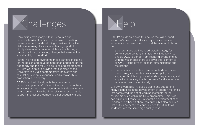# Challenges

Universities have many cultural, resource and technical barriers that stand in the way of meeting the requirements of developing a business in online distance learning. This involves having a portfolio of fully-developed course modules and effecting a transformational, i.e. lasting, change that ensures the sustainability of the effort.

Partnering helps to overcome these barriers, including for the design and development of an engaging online pedagogy and the resulting courses and programmes. CAPDM were able to provide that expertise to the University, to build a contemporary, innovative and stimulating student experience, and a scalability of production and delivery.

CAPDM worked closely with the academic and technical support staff of the University, to guide them in production, launch and operation, but also to transfer their experience into the University in order to enable it to apply the lessons learned to other academic areas.

## Help

CAPDM builds on a solid foundation that will support tomorrow's needs as well as today's. Our extensive experience has been used to build the one World MBA on:

- a coherent and well-founded digital strategy for content development, management & delivery, to enable UWS to benefit from licensing arrangements with the major publishers to deliver their content to all UWS irrespective of location, circumstances and restrictions
- the back of a scalable and repeatable development methodology to create consistent outputs, an engaging & highly supported student experience, and a quality of delivery that is the same for all students – whatever their mode of study.

CAPDM's work also involved guiding and supporting many academics in the development of support materials that completed the set of learning materials for the course modules within the MBA programme. This is of particular significance to UWS for the development of its London and other off-shore campuses, but also ensures that its four domestic campuses teach the MBA to all students from the same high quality base.